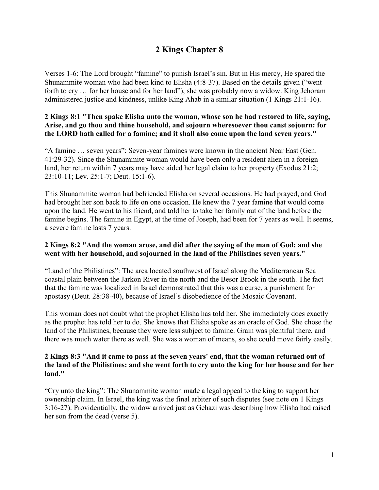## **2 Kings Chapter 8**

Verses 1-6: The Lord brought "famine" to punish Israel's sin. But in His mercy, He spared the Shunammite woman who had been kind to Elisha (4:8-37). Based on the details given ("went forth to cry … for her house and for her land"), she was probably now a widow. King Jehoram administered justice and kindness, unlike King Ahab in a similar situation (1 Kings 21:1-16).

## **2 Kings 8:1 "Then spake Elisha unto the woman, whose son he had restored to life, saying, Arise, and go thou and thine household, and sojourn wheresoever thou canst sojourn: for the LORD hath called for a famine; and it shall also come upon the land seven years."**

"A famine … seven years": Seven-year famines were known in the ancient Near East (Gen. 41:29-32). Since the Shunammite woman would have been only a resident alien in a foreign land, her return within 7 years may have aided her legal claim to her property (Exodus 21:2; 23:10-11; Lev. 25:1-7; Deut. 15:1-6).

This Shunammite woman had befriended Elisha on several occasions. He had prayed, and God had brought her son back to life on one occasion. He knew the 7 year famine that would come upon the land. He went to his friend, and told her to take her family out of the land before the famine begins. The famine in Egypt, at the time of Joseph, had been for 7 years as well. It seems, a severe famine lasts 7 years.

#### **2 Kings 8:2 "And the woman arose, and did after the saying of the man of God: and she went with her household, and sojourned in the land of the Philistines seven years."**

"Land of the Philistines": The area located southwest of Israel along the Mediterranean Sea coastal plain between the Jarkon River in the north and the Besor Brook in the south. The fact that the famine was localized in Israel demonstrated that this was a curse, a punishment for apostasy (Deut. 28:38-40), because of Israel's disobedience of the Mosaic Covenant.

This woman does not doubt what the prophet Elisha has told her. She immediately does exactly as the prophet has told her to do. She knows that Elisha spoke as an oracle of God. She chose the land of the Philistines, because they were less subject to famine. Grain was plentiful there, and there was much water there as well. She was a woman of means, so she could move fairly easily.

#### **2 Kings 8:3 "And it came to pass at the seven years' end, that the woman returned out of the land of the Philistines: and she went forth to cry unto the king for her house and for her land."**

"Cry unto the king": The Shunammite woman made a legal appeal to the king to support her ownership claim. In Israel, the king was the final arbiter of such disputes (see note on 1 Kings 3:16-27). Providentially, the widow arrived just as Gehazi was describing how Elisha had raised her son from the dead (verse 5).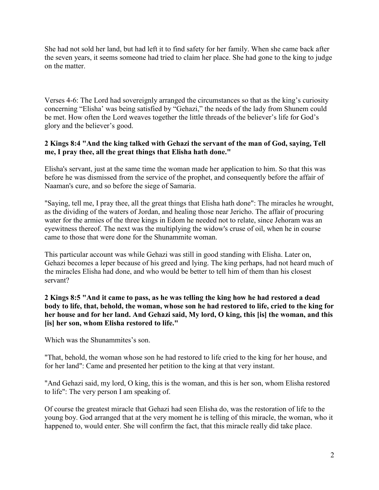She had not sold her land, but had left it to find safety for her family. When she came back after the seven years, it seems someone had tried to claim her place. She had gone to the king to judge on the matter.

Verses 4-6: The Lord had sovereignly arranged the circumstances so that as the king's curiosity concerning "Elisha' was being satisfied by "Gehazi," the needs of the lady from Shunem could be met. How often the Lord weaves together the little threads of the believer's life for God's glory and the believer's good.

## **2 Kings 8:4 "And the king talked with Gehazi the servant of the man of God, saying, Tell me, I pray thee, all the great things that Elisha hath done."**

Elisha's servant, just at the same time the woman made her application to him. So that this was before he was dismissed from the service of the prophet, and consequently before the affair of Naaman's cure, and so before the siege of Samaria.

"Saying, tell me, I pray thee, all the great things that Elisha hath done": The miracles he wrought, as the dividing of the waters of Jordan, and healing those near Jericho. The affair of procuring water for the armies of the three kings in Edom he needed not to relate, since Jehoram was an eyewitness thereof. The next was the multiplying the widow's cruse of oil, when he in course came to those that were done for the Shunammite woman.

This particular account was while Gehazi was still in good standing with Elisha. Later on, Gehazi becomes a leper because of his greed and lying. The king perhaps, had not heard much of the miracles Elisha had done, and who would be better to tell him of them than his closest servant?

**2 Kings 8:5 "And it came to pass, as he was telling the king how he had restored a dead body to life, that, behold, the woman, whose son he had restored to life, cried to the king for her house and for her land. And Gehazi said, My lord, O king, this [is] the woman, and this [is] her son, whom Elisha restored to life."**

Which was the Shunammites's son.

"That, behold, the woman whose son he had restored to life cried to the king for her house, and for her land": Came and presented her petition to the king at that very instant.

"And Gehazi said, my lord, O king, this is the woman, and this is her son, whom Elisha restored to life": The very person I am speaking of.

Of course the greatest miracle that Gehazi had seen Elisha do, was the restoration of life to the young boy. God arranged that at the very moment he is telling of this miracle, the woman, who it happened to, would enter. She will confirm the fact, that this miracle really did take place.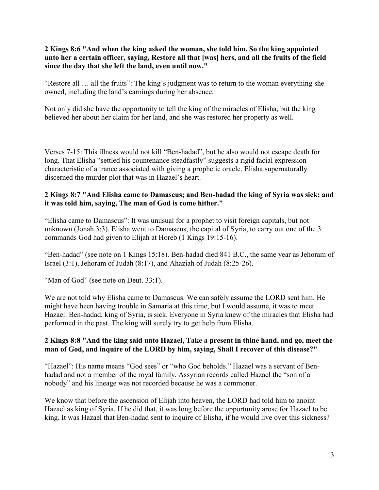## **2 Kings 8:6 "And when the king asked the woman, she told him. So the king appointed unto her a certain officer, saying, Restore all that [was] hers, and all the fruits of the field since the day that she left the land, even until now."**

"Restore all … all the fruits": The king's judgment was to return to the woman everything she owned, including the land's earnings during her absence.

Not only did she have the opportunity to tell the king of the miracles of Elisha, but the king believed her about her claim for her land, and she was restored her property as well.

Verses 7-15: This illness would not kill "Ben-hadad", but he also would not escape death for long. That Elisha "settled his countenance steadfastly" suggests a rigid facial expression characteristic of a trance associated with giving a prophetic oracle. Elisha supernaturally discerned the murder plot that was in Hazael's heart.

#### **2 Kings 8:7 "And Elisha came to Damascus; and Ben-hadad the king of Syria was sick; and it was told him, saying, The man of God is come hither."**

"Elisha came to Damascus": It was unusual for a prophet to visit foreign capitals, but not unknown (Jonah 3:3). Elisha went to Damascus, the capital of Syria, to carry out one of the 3 commands God had given to Elijah at Horeb (1 Kings 19:15-16).

"Ben-hadad" (see note on 1 Kings 15:18). Ben-hadad died 841 B.C., the same year as Jehoram of Israel (3:1), Jehoram of Judah (8:17), and Ahaziah of Judah (8:25-26).

"Man of God" (see note on Deut. 33:1).

We are not told why Elisha came to Damascus. We can safely assume the LORD sent him. He might have been having trouble in Samaria at this time, but I would assume, it was to meet Hazael. Ben-hadad, king of Syria, is sick. Everyone in Syria knew of the miracles that Elisha had performed in the past. The king will surely try to get help from Elisha.

## **2 Kings 8:8 "And the king said unto Hazael, Take a present in thine hand, and go, meet the man of God, and inquire of the LORD by him, saying, Shall I recover of this disease?"**

"Hazael": His name means "God sees" or "who God beholds." Hazael was a servant of Benhadad and not a member of the royal family. Assyrian records called Hazael the "son of a nobody" and his lineage was not recorded because he was a commoner.

We know that before the ascension of Elijah into heaven, the LORD had told him to anoint Hazael as king of Syria. If he did that, it was long before the opportunity arose for Hazael to be king. It was Hazael that Ben-hadad sent to inquire of Elisha, if he would live over this sickness?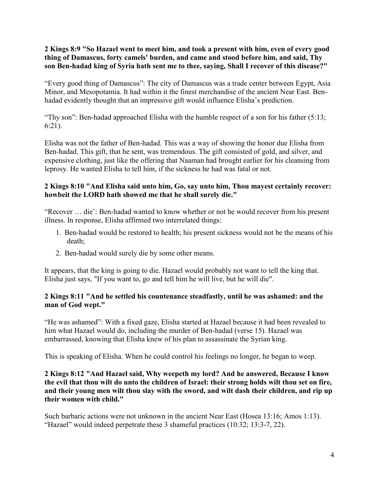**2 Kings 8:9 "So Hazael went to meet him, and took a present with him, even of every good thing of Damascus, forty camels' burden, and came and stood before him, and said, Thy son Ben-hadad king of Syria hath sent me to thee, saying, Shall I recover of this disease?"**

"Every good thing of Damascus": The city of Damascus was a trade center between Egypt, Asia Minor, and Mesopotamia. It had within it the finest merchandise of the ancient Near East. Benhadad evidently thought that an impressive gift would influence Elisha's prediction.

"Thy son": Ben-hadad approached Elisha with the humble respect of a son for his father  $(5:13;$ 6:21).

Elisha was not the father of Ben-hadad. This was a way of showing the honor due Elisha from Ben-hadad. This gift, that he sent, was tremendous. The gift consisted of gold, and silver, and expensive clothing, just like the offering that Naaman had brought earlier for his cleansing from leprosy. He wanted Elisha to tell him, if the sickness he had was fatal or not.

## **2 Kings 8:10 "And Elisha said unto him, Go, say unto him, Thou mayest certainly recover: howbeit the LORD hath showed me that he shall surely die."**

"Recover … die': Ben-hadad wanted to know whether or not he would recover from his present illness. In response, Elisha affirmed two interrelated things:

- 1. Ben-hadad would be restored to health; his present sickness would not be the means of his death;
- 2. Ben-hadad would surely die by some other means.

It appears, that the king is going to die. Hazael would probably not want to tell the king that. Elisha just says, "If you want to, go and tell him he will live, but he will die".

## **2 Kings 8:11 "And he settled his countenance steadfastly, until he was ashamed: and the man of God wept."**

"He was ashamed": With a fixed gaze, Elisha started at Hazael because it had been revealed to him what Hazael would do, including the murder of Ben-hadad (verse 15). Hazael was embarrassed, knowing that Elisha knew of his plan to assassinate the Syrian king.

This is speaking of Elisha. When he could control his feelings no longer, he began to weep.

## **2 Kings 8:12 "And Hazael said, Why weepeth my lord? And he answered, Because I know the evil that thou wilt do unto the children of Israel: their strong holds wilt thou set on fire, and their young men wilt thou slay with the sword, and wilt dash their children, and rip up their women with child."**

Such barbaric actions were not unknown in the ancient Near East (Hosea 13:16; Amos 1:13). "Hazael" would indeed perpetrate these 3 shameful practices (10:32; 13:3-7, 22).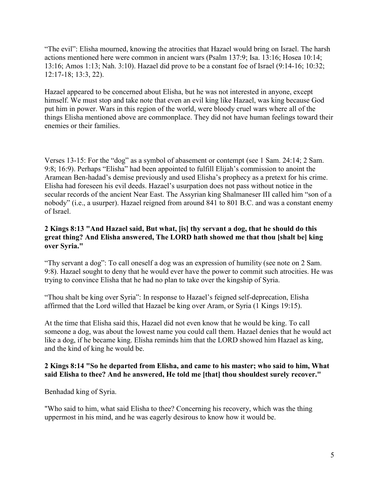"The evil": Elisha mourned, knowing the atrocities that Hazael would bring on Israel. The harsh actions mentioned here were common in ancient wars (Psalm 137:9; Isa. 13:16; Hosea 10:14; 13:16; Amos 1:13; Nah. 3:10). Hazael did prove to be a constant foe of Israel (9:14-16; 10:32; 12:17-18; 13:3, 22).

Hazael appeared to be concerned about Elisha, but he was not interested in anyone, except himself. We must stop and take note that even an evil king like Hazael, was king because God put him in power. Wars in this region of the world, were bloody cruel wars where all of the things Elisha mentioned above are commonplace. They did not have human feelings toward their enemies or their families.

Verses 13-15: For the "dog" as a symbol of abasement or contempt (see 1 Sam. 24:14; 2 Sam. 9:8; 16:9). Perhaps "Elisha" had been appointed to fulfill Elijah's commission to anoint the Aramean Ben-hadad's demise previously and used Elisha's prophecy as a pretext for his crime. Elisha had foreseen his evil deeds. Hazael's usurpation does not pass without notice in the secular records of the ancient Near East. The Assyrian king Shalmaneser III called him "son of a nobody" (i.e., a usurper). Hazael reigned from around 841 to 801 B.C. and was a constant enemy of Israel.

## **2 Kings 8:13 "And Hazael said, But what, [is] thy servant a dog, that he should do this great thing? And Elisha answered, The LORD hath showed me that thou [shalt be] king over Syria."**

"Thy servant a dog": To call oneself a dog was an expression of humility (see note on 2 Sam. 9:8). Hazael sought to deny that he would ever have the power to commit such atrocities. He was trying to convince Elisha that he had no plan to take over the kingship of Syria.

"Thou shalt be king over Syria": In response to Hazael's feigned self-deprecation, Elisha affirmed that the Lord willed that Hazael be king over Aram, or Syria (1 Kings 19:15).

At the time that Elisha said this, Hazael did not even know that he would be king. To call someone a dog, was about the lowest name you could call them. Hazael denies that he would act like a dog, if he became king. Elisha reminds him that the LORD showed him Hazael as king, and the kind of king he would be.

## **2 Kings 8:14 "So he departed from Elisha, and came to his master; who said to him, What said Elisha to thee? And he answered, He told me [that] thou shouldest surely recover."**

Benhadad king of Syria.

"Who said to him, what said Elisha to thee? Concerning his recovery, which was the thing uppermost in his mind, and he was eagerly desirous to know how it would be.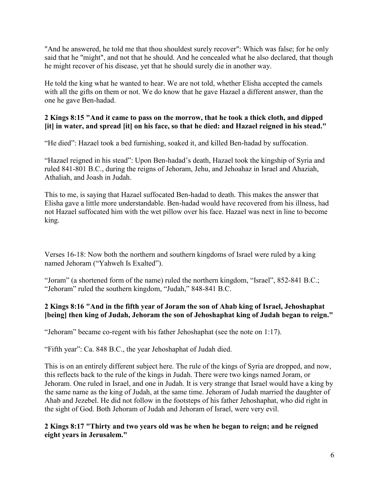"And he answered, he told me that thou shouldest surely recover": Which was false; for he only said that he "might", and not that he should. And he concealed what he also declared, that though he might recover of his disease, yet that he should surely die in another way.

He told the king what he wanted to hear. We are not told, whether Elisha accepted the camels with all the gifts on them or not. We do know that he gave Hazael a different answer, than the one he gave Ben-hadad.

## **2 Kings 8:15 "And it came to pass on the morrow, that he took a thick cloth, and dipped [it] in water, and spread [it] on his face, so that he died: and Hazael reigned in his stead."**

"He died": Hazael took a bed furnishing, soaked it, and killed Ben-hadad by suffocation.

"Hazael reigned in his stead": Upon Ben-hadad's death, Hazael took the kingship of Syria and ruled 841-801 B.C., during the reigns of Jehoram, Jehu, and Jehoahaz in Israel and Ahaziah, Athaliah, and Joash in Judah.

This to me, is saying that Hazael suffocated Ben-hadad to death. This makes the answer that Elisha gave a little more understandable. Ben-hadad would have recovered from his illness, had not Hazael suffocated him with the wet pillow over his face. Hazael was next in line to become king.

Verses 16-18: Now both the northern and southern kingdoms of Israel were ruled by a king named Jehoram ("Yahweh Is Exalted").

"Joram" (a shortened form of the name) ruled the northern kingdom, "Israel", 852-841 B.C.; "Jehoram" ruled the southern kingdom, "Judah," 848-841 B.C.

## **2 Kings 8:16 "And in the fifth year of Joram the son of Ahab king of Israel, Jehoshaphat [being] then king of Judah, Jehoram the son of Jehoshaphat king of Judah began to reign."**

"Jehoram" became co-regent with his father Jehoshaphat (see the note on 1:17).

"Fifth year": Ca. 848 B.C., the year Jehoshaphat of Judah died.

This is on an entirely different subject here. The rule of the kings of Syria are dropped, and now, this reflects back to the rule of the kings in Judah. There were two kings named Joram, or Jehoram. One ruled in Israel, and one in Judah. It is very strange that Israel would have a king by the same name as the king of Judah, at the same time. Jehoram of Judah married the daughter of Ahab and Jezebel. He did not follow in the footsteps of his father Jehoshaphat, who did right in the sight of God. Both Jehoram of Judah and Jehoram of Israel, were very evil.

**2 Kings 8:17 "Thirty and two years old was he when he began to reign; and he reigned eight years in Jerusalem."**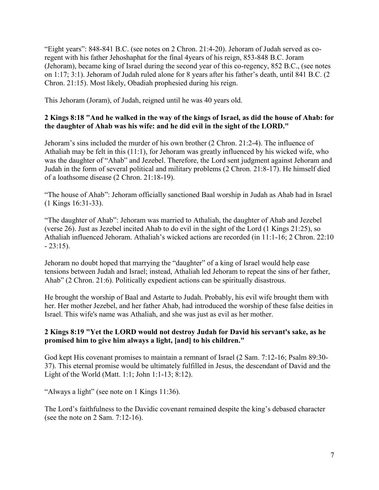"Eight years": 848-841 B.C. (see notes on 2 Chron. 21:4-20). Jehoram of Judah served as coregent with his father Jehoshaphat for the final 4years of his reign, 853-848 B.C. Joram (Jehoram), became king of Israel during the second year of this co-regency, 852 B.C., (see notes on 1:17; 3:1). Jehoram of Judah ruled alone for 8 years after his father's death, until 841 B.C. (2 Chron. 21:15). Most likely, Obadiah prophesied during his reign.

This Jehoram (Joram), of Judah, reigned until he was 40 years old.

## **2 Kings 8:18 "And he walked in the way of the kings of Israel, as did the house of Ahab: for the daughter of Ahab was his wife: and he did evil in the sight of the LORD."**

Jehoram's sins included the murder of his own brother (2 Chron. 21:2-4). The influence of Athaliah may be felt in this (11:1), for Jehoram was greatly influenced by his wicked wife, who was the daughter of "Ahab" and Jezebel. Therefore, the Lord sent judgment against Jehoram and Judah in the form of several political and military problems (2 Chron. 21:8-17). He himself died of a loathsome disease (2 Chron. 21:18-19).

"The house of Ahab": Jehoram officially sanctioned Baal worship in Judah as Ahab had in Israel (1 Kings 16:31-33).

"The daughter of Ahab": Jehoram was married to Athaliah, the daughter of Ahab and Jezebel (verse 26). Just as Jezebel incited Ahab to do evil in the sight of the Lord (1 Kings 21:25), so Athaliah influenced Jehoram. Athaliah's wicked actions are recorded (in 11:1-16; 2 Chron. 22:10  $-23:15$ ).

Jehoram no doubt hoped that marrying the "daughter" of a king of Israel would help ease tensions between Judah and Israel; instead, Athaliah led Jehoram to repeat the sins of her father, Ahab" (2 Chron. 21:6). Politically expedient actions can be spiritually disastrous.

He brought the worship of Baal and Astarte to Judah. Probably, his evil wife brought them with her. Her mother Jezebel, and her father Ahab, had introduced the worship of these false deities in Israel. This wife's name was Athaliah, and she was just as evil as her mother.

## **2 Kings 8:19 "Yet the LORD would not destroy Judah for David his servant's sake, as he promised him to give him always a light, [and] to his children."**

God kept His covenant promises to maintain a remnant of Israel (2 Sam. 7:12-16; Psalm 89:30- 37). This eternal promise would be ultimately fulfilled in Jesus, the descendant of David and the Light of the World (Matt. 1:1; John 1:1-13; 8:12).

"Always a light" (see note on 1 Kings 11:36).

The Lord's faithfulness to the Davidic covenant remained despite the king's debased character (see the note on 2 Sam. 7:12-16).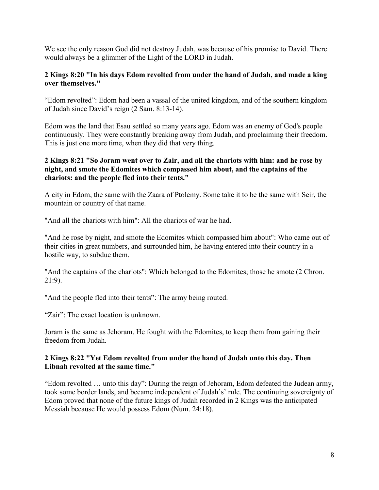We see the only reason God did not destroy Judah, was because of his promise to David. There would always be a glimmer of the Light of the LORD in Judah.

## **2 Kings 8:20 "In his days Edom revolted from under the hand of Judah, and made a king over themselves."**

"Edom revolted": Edom had been a vassal of the united kingdom, and of the southern kingdom of Judah since David's reign (2 Sam. 8:13-14).

Edom was the land that Esau settled so many years ago. Edom was an enemy of God's people continuously. They were constantly breaking away from Judah, and proclaiming their freedom. This is just one more time, when they did that very thing.

## **2 Kings 8:21 "So Joram went over to Zair, and all the chariots with him: and he rose by night, and smote the Edomites which compassed him about, and the captains of the chariots: and the people fled into their tents."**

A city in Edom, the same with the Zaara of Ptolemy. Some take it to be the same with Seir, the mountain or country of that name.

"And all the chariots with him": All the chariots of war he had.

"And he rose by night, and smote the Edomites which compassed him about": Who came out of their cities in great numbers, and surrounded him, he having entered into their country in a hostile way, to subdue them.

"And the captains of the chariots": Which belonged to the Edomites; those he smote (2 Chron. 21:9).

"And the people fled into their tents": The army being routed.

"Zair": The exact location is unknown.

Joram is the same as Jehoram. He fought with the Edomites, to keep them from gaining their freedom from Judah.

#### **2 Kings 8:22 "Yet Edom revolted from under the hand of Judah unto this day. Then Libnah revolted at the same time."**

"Edom revolted … unto this day": During the reign of Jehoram, Edom defeated the Judean army, took some border lands, and became independent of Judah's' rule. The continuing sovereignty of Edom proved that none of the future kings of Judah recorded in 2 Kings was the anticipated Messiah because He would possess Edom (Num. 24:18).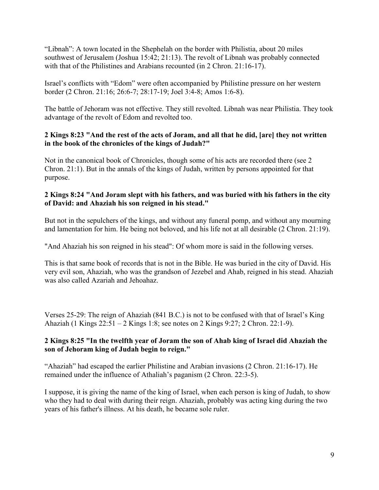"Libnah": A town located in the Shephelah on the border with Philistia, about 20 miles southwest of Jerusalem (Joshua 15:42; 21:13). The revolt of Libnah was probably connected with that of the Philistines and Arabians recounted (in 2 Chron. 21:16-17).

Israel's conflicts with "Edom" were often accompanied by Philistine pressure on her western border (2 Chron. 21:16; 26:6-7; 28:17-19; Joel 3:4-8; Amos 1:6-8).

The battle of Jehoram was not effective. They still revolted. Libnah was near Philistia. They took advantage of the revolt of Edom and revolted too.

## **2 Kings 8:23 "And the rest of the acts of Joram, and all that he did, [are] they not written in the book of the chronicles of the kings of Judah?"**

Not in the canonical book of Chronicles, though some of his acts are recorded there (see 2 Chron. 21:1). But in the annals of the kings of Judah, written by persons appointed for that purpose.

## **2 Kings 8:24 "And Joram slept with his fathers, and was buried with his fathers in the city of David: and Ahaziah his son reigned in his stead."**

But not in the sepulchers of the kings, and without any funeral pomp, and without any mourning and lamentation for him. He being not beloved, and his life not at all desirable (2 Chron. 21:19).

"And Ahaziah his son reigned in his stead": Of whom more is said in the following verses.

This is that same book of records that is not in the Bible. He was buried in the city of David. His very evil son, Ahaziah, who was the grandson of Jezebel and Ahab, reigned in his stead. Ahaziah was also called Azariah and Jehoahaz.

Verses 25-29: The reign of Ahaziah (841 B.C.) is not to be confused with that of Israel's King Ahaziah (1 Kings 22:51 – 2 Kings 1:8; see notes on 2 Kings 9:27; 2 Chron. 22:1-9).

## **2 Kings 8:25 "In the twelfth year of Joram the son of Ahab king of Israel did Ahaziah the son of Jehoram king of Judah begin to reign."**

"Ahaziah" had escaped the earlier Philistine and Arabian invasions (2 Chron. 21:16-17). He remained under the influence of Athaliah's paganism (2 Chron. 22:3-5).

I suppose, it is giving the name of the king of Israel, when each person is king of Judah, to show who they had to deal with during their reign. Ahaziah, probably was acting king during the two years of his father's illness. At his death, he became sole ruler.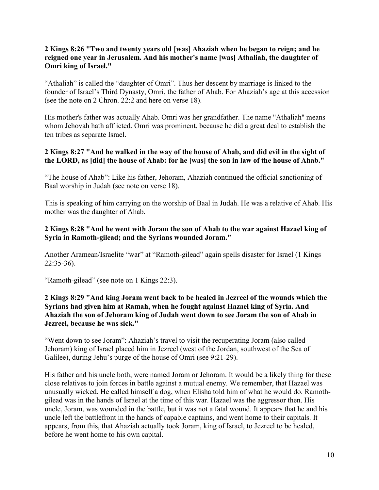## **2 Kings 8:26 "Two and twenty years old [was] Ahaziah when he began to reign; and he reigned one year in Jerusalem. And his mother's name [was] Athaliah, the daughter of Omri king of Israel."**

"Athaliah" is called the "daughter of Omri". Thus her descent by marriage is linked to the founder of Israel's Third Dynasty, Omri, the father of Ahab. For Ahaziah's age at this accession (see the note on 2 Chron. 22:2 and here on verse 18).

His mother's father was actually Ahab. Omri was her grandfather. The name "Athaliah" means whom Jehovah hath afflicted. Omri was prominent, because he did a great deal to establish the ten tribes as separate Israel.

## **2 Kings 8:27 "And he walked in the way of the house of Ahab, and did evil in the sight of the LORD, as [did] the house of Ahab: for he [was] the son in law of the house of Ahab."**

"The house of Ahab": Like his father, Jehoram, Ahaziah continued the official sanctioning of Baal worship in Judah (see note on verse 18).

This is speaking of him carrying on the worship of Baal in Judah. He was a relative of Ahab. His mother was the daughter of Ahab.

## **2 Kings 8:28 "And he went with Joram the son of Ahab to the war against Hazael king of Syria in Ramoth-gilead; and the Syrians wounded Joram."**

Another Aramean/Israelite "war" at "Ramoth-gilead" again spells disaster for Israel (1 Kings 22:35-36).

"Ramoth-gilead" (see note on 1 Kings 22:3).

## **2 Kings 8:29 "And king Joram went back to be healed in Jezreel of the wounds which the Syrians had given him at Ramah, when he fought against Hazael king of Syria. And Ahaziah the son of Jehoram king of Judah went down to see Joram the son of Ahab in Jezreel, because he was sick."**

"Went down to see Joram": Ahaziah's travel to visit the recuperating Joram (also called Jehoram) king of Israel placed him in Jezreel (west of the Jordan, southwest of the Sea of Galilee), during Jehu's purge of the house of Omri (see 9:21-29).

His father and his uncle both, were named Joram or Jehoram. It would be a likely thing for these close relatives to join forces in battle against a mutual enemy. We remember, that Hazael was unusually wicked. He called himself a dog, when Elisha told him of what he would do. Ramothgilead was in the hands of Israel at the time of this war. Hazael was the aggressor then. His uncle, Joram, was wounded in the battle, but it was not a fatal wound. It appears that he and his uncle left the battlefront in the hands of capable captains, and went home to their capitals. It appears, from this, that Ahaziah actually took Joram, king of Israel, to Jezreel to be healed, before he went home to his own capital.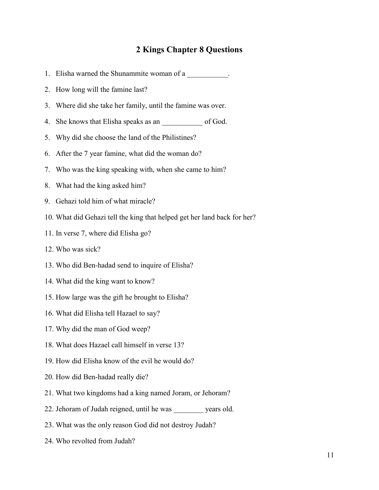# **2 Kings Chapter 8 Questions**

|    | 1. Elisha warned the Shunammite woman of a                               |
|----|--------------------------------------------------------------------------|
| 2. | How long will the famine last?                                           |
| 3. | Where did she take her family, until the famine was over.                |
| 4. |                                                                          |
| 5. | Why did she choose the land of the Philistines?                          |
| 6. | After the 7 year famine, what did the woman do?                          |
| 7. | Who was the king speaking with, when she came to him?                    |
| 8. | What had the king asked him?                                             |
| 9. | Gehazi told him of what miracle?                                         |
|    | 10. What did Gehazi tell the king that helped get her land back for her? |
|    | 11. In verse 7, where did Elisha go?                                     |
|    | 12. Who was sick?                                                        |
|    | 13. Who did Ben-hadad send to inquire of Elisha?                         |
|    | 14. What did the king want to know?                                      |
|    | 15. How large was the gift he brought to Elisha?                         |
|    | 16. What did Elisha tell Hazael to say?                                  |
|    | 17. Why did the man of God weep?                                         |
|    | 18. What does Hazael call himself in verse 13?                           |
|    | 19. How did Elisha know of the evil he would do?                         |
|    | 20. How did Ben-hadad really die?                                        |
|    | 21. What two kingdoms had a king named Joram, or Jehoram?                |
|    | 22. Jehoram of Judah reigned, until he was vears old.                    |
|    | 23. What was the only reason God did not destroy Judah?                  |
|    | 24. Who revolted from Judah?                                             |